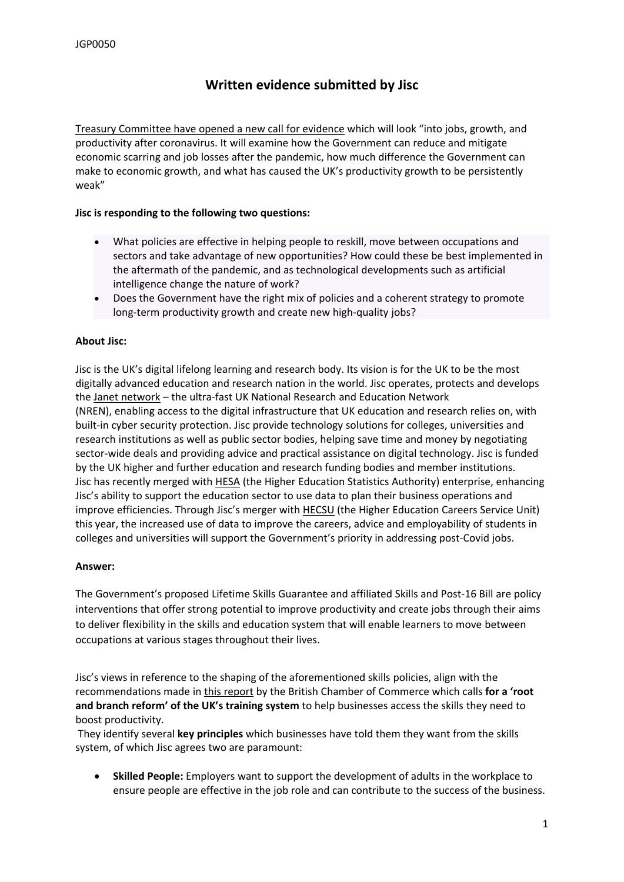# **Written evidence submitted by Jisc**

[Treasury](https://committees.parliament.uk/work/1157/jobs-growth-and-productivity-after-coronavirus/publications/) [Committee](https://committees.parliament.uk/work/1157/jobs-growth-and-productivity-after-coronavirus/publications/) [have](https://committees.parliament.uk/work/1157/jobs-growth-and-productivity-after-coronavirus/publications/) [opened](https://committees.parliament.uk/work/1157/jobs-growth-and-productivity-after-coronavirus/publications/) [a](https://committees.parliament.uk/work/1157/jobs-growth-and-productivity-after-coronavirus/publications/) [new](https://committees.parliament.uk/work/1157/jobs-growth-and-productivity-after-coronavirus/publications/) [call](https://committees.parliament.uk/work/1157/jobs-growth-and-productivity-after-coronavirus/publications/) [for](https://committees.parliament.uk/work/1157/jobs-growth-and-productivity-after-coronavirus/publications/) [evidence](https://committees.parliament.uk/work/1157/jobs-growth-and-productivity-after-coronavirus/publications/) which will look "into jobs, growth, and productivity after coronavirus. It will examine how the Government can reduce and mitigate economic scarring and job losses after the pandemic, how much difference the Government can make to economic growth, and what has caused the UK's productivity growth to be persistently weak"

## **Jisc is responding to the following two questions:**

- What policies are effective in helping people to reskill, move between occupations and sectors and take advantage of new opportunities? How could these be best implemented in the aftermath of the pandemic, and as technological developments such as artificial intelligence change the nature of work?
- Does the Government have the right mix of policies and a coherent strategy to promote long-term productivity growth and create new high-quality jobs?

## **About Jisc:**

Jisc is the UK's digital lifelong learning and research body. Its vision is for the UK to be the most digitally advanced education and research nation in the world. Jisc operates, protects and develops the [Janet](https://www.jisc.ac.uk/janet) [network](https://www.jisc.ac.uk/janet) – the ultra-fast UK National Research and Education Network (NREN), enabling access to the digital infrastructure that UK education and research relies on, with built-in cyber security protection. Jisc provide technology solutions for colleges, universities and research institutions as well as public sector bodies, helping save time and money by negotiating sector-wide deals and providing advice and practical assistance on digital technology. Jisc is funded by the UK higher and further education and research funding bodies and member institutions. Jisc has recently merged with [HESA](https://www.hesa.ac.uk/) (the Higher Education Statistics Authority) enterprise, enhancing Jisc's ability to support the education sector to use data to plan their business operations and improve efficiencies. Through Jisc's merger with [HECSU](https://hecsu.ac.uk/) (the Higher Education Careers Service Unit) this year, the increased use of data to improve the careers, advice and employability of students in colleges and universities will support the Government's priority in addressing post-Covid jobs.

#### **Answer:**

The Government's proposed Lifetime Skills Guarantee and affiliated Skills and Post-16 Bill are policy interventions that offer strong potential to improve productivity and create jobs through their aims to deliver flexibility in the skills and education system that will enable learners to move between occupations at various stages throughout their lives.

Jisc's views in reference to the shaping of the aforementioned skills policies, align with the recommendations made in [this](https://www.britishchambers.org.uk/news/2021/05/landmark-skills-training-report-calls-for-major-reboot-of-the-system) [report](https://www.britishchambers.org.uk/news/2021/05/landmark-skills-training-report-calls-for-major-reboot-of-the-system) by the British Chamber of Commerce which calls **for a 'root and branch reform' of the UK's training system** to help businesses access the skills they need to boost productivity.

They identify several **key principles** which businesses have told them they want from the skills system, of which Jisc agrees two are paramount:

 **Skilled People:** Employers want to support the development of adults in the workplace to ensure people are effective in the job role and can contribute to the success of the business.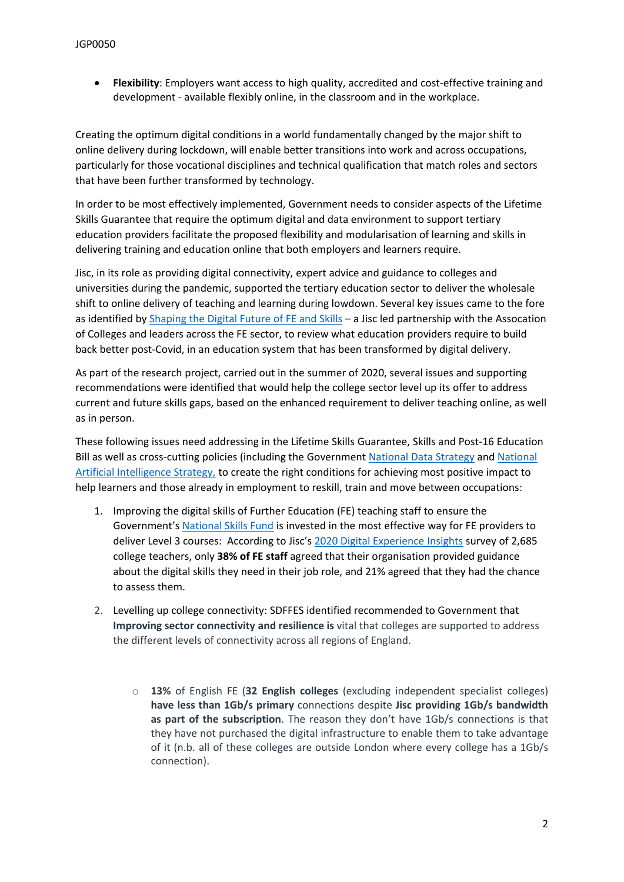**Flexibility**: Employers want access to high quality, accredited and cost-effective training and development - available flexibly online, in the classroom and in the workplace.

Creating the optimum digital conditions in a world fundamentally changed by the major shift to online delivery during lockdown, will enable better transitions into work and across occupations, particularly for those vocational disciplines and technical qualification that match roles and sectors that have been further transformed by technology.

In order to be most effectively implemented, Government needs to consider aspects of the Lifetime Skills Guarantee that require the optimum digital and data environment to support tertiary education providers facilitate the proposed flexibility and modularisation of learning and skills in delivering training and education online that both employers and learners require.

Jisc, in its role as providing digital connectivity, expert advice and guidance to colleges and universities during the pandemic, supported the tertiary education sector to deliver the wholesale shift to online delivery of teaching and learning during lowdown. Several key issues came to the fore as identified by [Shaping](https://www.jisc.ac.uk/shaping-the-digital-future-of-fe-and-skills) [the](https://www.jisc.ac.uk/shaping-the-digital-future-of-fe-and-skills) [Digital](https://www.jisc.ac.uk/shaping-the-digital-future-of-fe-and-skills) [Future](https://www.jisc.ac.uk/shaping-the-digital-future-of-fe-and-skills) [of](https://www.jisc.ac.uk/shaping-the-digital-future-of-fe-and-skills) [FE](https://www.jisc.ac.uk/shaping-the-digital-future-of-fe-and-skills) [and](https://www.jisc.ac.uk/shaping-the-digital-future-of-fe-and-skills) [Skills](https://www.jisc.ac.uk/shaping-the-digital-future-of-fe-and-skills) - a Jisc led partnership with the Assocation of Colleges and leaders across the FE sector, to review what education providers require to build back better post-Covid, in an education system that has been transformed by digital delivery.

As part of the research project, carried out in the summer of 2020, several issues and supporting recommendations were identified that would help the college sector level up its offer to address current and future skills gaps, based on the enhanced requirement to deliver teaching online, as well as in person.

These following issues need addressing in the Lifetime Skills Guarantee, Skills and Post-16 Education Bill as well as cross-cutting policies (including the Government [National](https://www.gov.uk/government/publications/uk-national-data-strategy/national-data-strategy) [Data](https://www.gov.uk/government/publications/uk-national-data-strategy/national-data-strategy) [Strategy](https://www.gov.uk/government/publications/uk-national-data-strategy/national-data-strategy) and [National](https://dcms.shorthandstories.com/Our-Ten-Tech-Priorities/index.html) [Artificial](https://dcms.shorthandstories.com/Our-Ten-Tech-Priorities/index.html) [Intelligence](https://dcms.shorthandstories.com/Our-Ten-Tech-Priorities/index.html) [Strategy,](https://dcms.shorthandstories.com/Our-Ten-Tech-Priorities/index.html) to create the right conditions for achieving most positive impact to help learners and those already in employment to reskill, train and move between occupations:

- 1. Improving the digital skills of Further Education (FE) teaching staff to ensure the Government's [National](https://www.gov.uk/guidance/national-skills-fund) [Skills](https://www.gov.uk/guidance/national-skills-fund) [Fund](https://www.gov.uk/guidance/national-skills-fund) is invested in the most effective way for FE providers to deliver Level 3 courses: According to Jisc's [2020](https://repository.jisc.ac.uk/8183/1/Teaching%20DEI%20FE%20report%202020%20v1.7.pdf) [Digital](https://repository.jisc.ac.uk/8183/1/Teaching%20DEI%20FE%20report%202020%20v1.7.pdf) [Experience](https://repository.jisc.ac.uk/8183/1/Teaching%20DEI%20FE%20report%202020%20v1.7.pdf) [Insights](https://repository.jisc.ac.uk/8183/1/Teaching%20DEI%20FE%20report%202020%20v1.7.pdf) survey of 2,685 college teachers, only **38% of FE staff** agreed that their organisation provided guidance about the digital skills they need in their job role, and 21% agreed that they had the chance to assess them.
- 2. Levelling up college connectivity: SDFFES identified recommended to Government that **Improving sector connectivity and resilience is** vital that colleges are supported to address the different levels of connectivity across all regions of England.
	- o **13%** of English FE (**32 English colleges** (excluding independent specialist colleges) **have less than 1Gb/s primary** connections despite **Jisc providing 1Gb/s bandwidth as part of the subscription**. The reason they don't have 1Gb/s connections is that they have not purchased the digital infrastructure to enable them to take advantage of it (n.b. all of these colleges are outside London where every college has a 1Gb/s connection).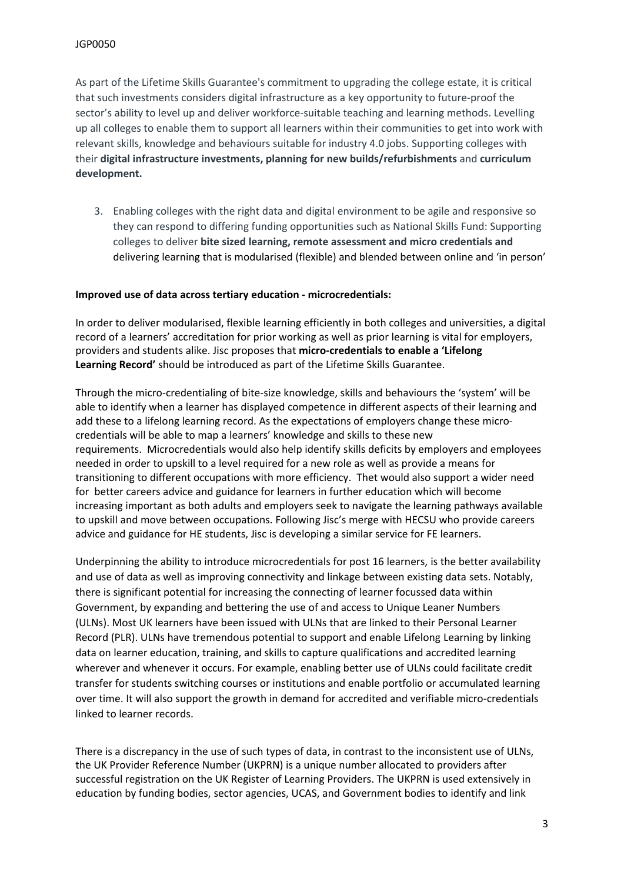As part of the Lifetime Skills Guarantee's commitment to upgrading the college estate, it is critical that such investments considers digital infrastructure as a key opportunity to future-proof the sector's ability to level up and deliver workforce-suitable teaching and learning methods. Levelling up all colleges to enable them to support all learners within their communities to get into work with relevant skills, knowledge and behaviours suitable for industry 4.0 jobs. Supporting colleges with their **digital infrastructure investments, planning for new builds/refurbishments** and **curriculum development.**

3. Enabling colleges with the right data and digital environment to be agile and responsive so they can respond to differing funding opportunities such as National Skills Fund: Supporting colleges to deliver **bite sized learning, remote assessment and micro credentials and** delivering learning that is modularised (flexible) and blended between online and 'in person'

#### **Improved use of data across tertiary education - microcredentials:**

In order to deliver modularised, flexible learning efficiently in both colleges and universities, a digital record of a learners' accreditation for prior working as well as prior learning is vital for employers, providers and students alike. Jisc proposes that **micro-credentials to enable a 'Lifelong Learning Record'** should be introduced as part of the Lifetime Skills Guarantee.

Through the micro-credentialing of bite-size knowledge, skills and behaviours the 'system' will be able to identify when a learner has displayed competence in different aspects of their learning and add these to a lifelong learning record. As the expectations of employers change these microcredentials will be able to map a learners' knowledge and skills to these new requirements. Microcredentials would also help identify skills deficits by employers and employees needed in order to upskill to a level required for a new role as well as provide a means for transitioning to different occupations with more efficiency. Thet would also support a wider need for better careers advice and guidance for learners in further education which will become increasing important as both adults and employers seek to navigate the learning pathways available to upskill and move between occupations. Following Jisc's merge with HECSU who provide careers advice and guidance for HE students, Jisc is developing a similar service for FE learners.

Underpinning the ability to introduce microcredentials for post 16 learners, is the better availability and use of data as well as improving connectivity and linkage between existing data sets. Notably, there is significant potential for increasing the connecting of learner focussed data within Government, by expanding and bettering the use of and access to Unique Leaner Numbers (ULNs). Most UK learners have been issued with ULNs that are linked to their Personal Learner Record (PLR). ULNs have tremendous potential to support and enable Lifelong Learning by linking data on learner education, training, and skills to capture qualifications and accredited learning wherever and whenever it occurs. For example, enabling better use of ULNs could facilitate credit transfer for students switching courses or institutions and enable portfolio or accumulated learning over time. It will also support the growth in demand for accredited and verifiable micro-credentials linked to learner records.

There is a discrepancy in the use of such types of data, in contrast to the inconsistent use of ULNs, the UK Provider Reference Number (UKPRN) is a unique number allocated to providers after successful registration on the UK Register of Learning Providers. The UKPRN is used extensively in education by funding bodies, sector agencies, UCAS, and Government bodies to identify and link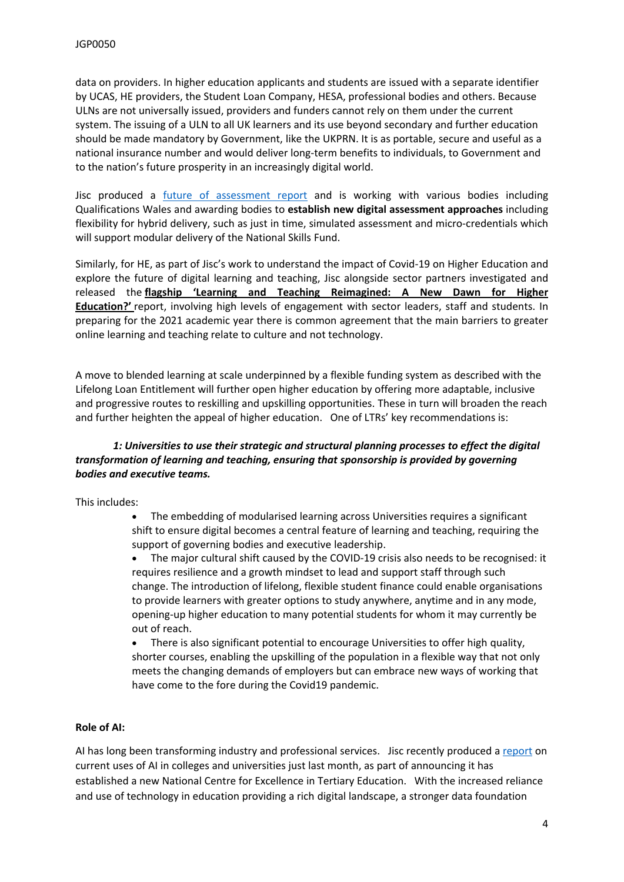data on providers. In higher education applicants and students are issued with a separate identifier by UCAS, HE providers, the Student Loan Company, HESA, professional bodies and others. Because ULNs are not universally issued, providers and funders cannot rely on them under the current system. The issuing of a ULN to all UK learners and its use beyond secondary and further education should be made mandatory by Government, like the UKPRN. It is as portable, secure and useful as a national insurance number and would deliver long-term benefits to individuals, to Government and to the nation's future prosperity in an increasingly digital world.

Jisc produced a [future](https://www.jisc.ac.uk/reports/the-future-of-assessment) [of](https://www.jisc.ac.uk/reports/the-future-of-assessment) [assessment](https://www.jisc.ac.uk/reports/the-future-of-assessment) [report](https://www.jisc.ac.uk/reports/the-future-of-assessment) and is working with various bodies including Qualifications Wales and awarding bodies to **establish new digital assessment approaches** including flexibility for hybrid delivery, such as just in time, simulated assessment and micro-credentials which will support modular delivery of the National Skills Fund.

Similarly, for HE, as part of Jisc's work to understand the impact of Covid-19 on Higher Education and explore the future of digital learning and teaching, Jisc alongside sector partners investigated and released the **[flagship](https://www.jisc.ac.uk/learning-and-teaching-reimagined) ['Learning](https://www.jisc.ac.uk/learning-and-teaching-reimagined) [and](https://www.jisc.ac.uk/learning-and-teaching-reimagined) [Teaching](https://www.jisc.ac.uk/learning-and-teaching-reimagined) [Reimagined:](https://www.jisc.ac.uk/learning-and-teaching-reimagined) [A](https://www.jisc.ac.uk/learning-and-teaching-reimagined) [New](https://www.jisc.ac.uk/learning-and-teaching-reimagined) [Dawn](https://www.jisc.ac.uk/learning-and-teaching-reimagined) [for](https://www.jisc.ac.uk/learning-and-teaching-reimagined) [Higher](https://www.jisc.ac.uk/learning-and-teaching-reimagined) [Education?'](https://www.jisc.ac.uk/learning-and-teaching-reimagined)** [report](https://www.jisc.ac.uk/learning-and-teaching-reimagined), involving high levels of engagement with sector leaders, staff and students. In preparing for the 2021 academic year there is common agreement that the main barriers to greater online learning and teaching relate to culture and not technology.

A move to blended learning at scale underpinned by a flexible funding system as described with the Lifelong Loan Entitlement will further open higher education by offering more adaptable, inclusive and progressive routes to reskilling and upskilling opportunities. These in turn will broaden the reach and further heighten the appeal of higher education. One of LTRs' key recommendations is:

# *1: Universities to use their strategic and structural planning processes to effect the digital transformation of learning and teaching, ensuring that sponsorship is provided by governing bodies and executive teams.*

This includes:

- The embedding of modularised learning across Universities requires a significant shift to ensure digital becomes a central feature of learning and teaching, requiring the support of governing bodies and executive leadership.
- The major cultural shift caused by the COVID-19 crisis also needs to be recognised: it requires resilience and a growth mindset to lead and support staff through such change. The introduction of lifelong, flexible student finance could enable organisations to provide learners with greater options to study anywhere, anytime and in any mode, opening-up higher education to many potential students for whom it may currently be out of reach.

 There is also significant potential to encourage Universities to offer high quality, shorter courses, enabling the upskilling of the population in a flexible way that not only meets the changing demands of employers but can embrace new ways of working that have come to the fore during the Covid19 pandemic.

# **Role of AI:**

AI has long been transforming industry and professional services. Jisc recently produced a [report](https://www.jisc.ac.uk/reports/ai-in-tertiary-education) on current uses of AI in colleges and universities just last month, as part of announcing it has established a new National Centre for Excellence in Tertiary Education. With the increased reliance and use of technology in education providing a rich digital landscape, a stronger data foundation